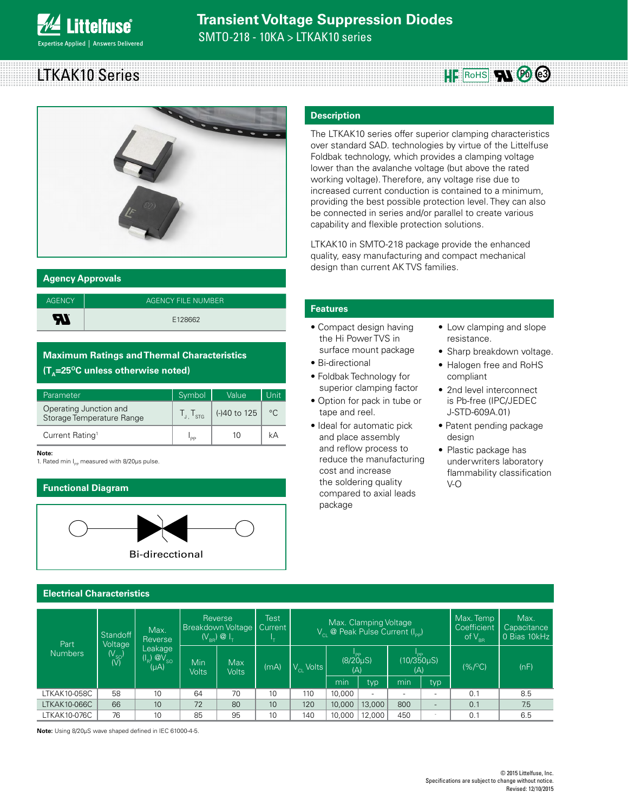# LTKAK10 Series **Roughland Contract Contract Contract Part & Contract Part & Contract Part & Contract Part & Contract Part & Contract Part & Contract Part & Contract Part & Contract Part & Contract Part & Contract Part & Co**



#### **Agency Approvals**

| <b>AGENCY</b> | AGENCY FILE NUMBER |
|---------------|--------------------|
| Æ             | E128662            |

#### **Maximum Ratings and Thermal Characteristics (T<sub>^</sub>=25<sup>o</sup>C unless otherwise noted)**

| Parameter                                           | Symbol                      | Value        | Unit |
|-----------------------------------------------------|-----------------------------|--------------|------|
| Operating Junction and<br>Storage Temperature Range | $\frac{1}{1}$ $\frac{1}{5}$ | (-)40 to 125 | °C.  |
| Current Rating <sup>1</sup>                         | 'PP                         | 10           |      |

#### **Note:**

1. Rated min  $I_{pp}$  measured with 8/20 $\mu$ s pulse.

#### **Functional Diagram**



#### **Electrical Characteristics**

#### Part Numbers **Standoff** Voltage (V<sub>SO</sub>)<br>(V) Max. Reverse Leakage  $(I_{\rm B})$   $\overline{Q}V_{\rm SO}$  $(uA)$ Reverse Breakdown Voltage  $(V_{BB}) \otimes I_{T}$ **Test Current**  $I_{\scriptscriptstyle\mathsf{T}}$ Max. Clamping Voltage  $V_{\text{Cl}}$  @ Peak Pulse Current (I<sub>PP</sub>) Max. Temp **Coefficient** of  $V_{BR}$ Max. **Capacitance** 0 Bias 10kHz Min Volts Max<br>Volts (mA)  $\bigvee_{C}$  Volts ا<br>(8/20μS)  $(\Delta)$ ا<br>(10/350µS) (A) (%/OC) (nF) min typ min typ LTKAK10-058C | 58 | 10 | 64 | 70 | 10 | 110 |10,000 | - | - | - | 0.1 | 8.5 LTKAK10-066C | 66 | 10 | 72 | 80 | 10 | 120 |10,000 |13,000 | 800 | - | 0.1 | 7.5 LTKAK10-076C | 76 | 10 | 85 | 95 | 10 | 140 |10,000 |12,000 | 450 | · | 0.1 | 6.5

**Note:** Using 8/20µS wave shaped defined in IEC 61000-4-5.

#### **Description**

The LTKAK10 series offer superior clamping characteristics over standard SAD. technologies by virtue of the Littelfuse Foldbak technology, which provides a clamping voltage lower than the avalanche voltage (but above the rated working voltage). Therefore, any voltage rise due to increased current conduction is contained to a minimum, providing the best possible protection level. They can also be connected in series and/or parallel to create various capability and flexible protection solutions.

LTKAK10 in SMTO-218 package provide the enhanced quality, easy manufacturing and compact mechanical design than current AK TVS families.

#### **Features**

- Compact design having the Hi Power TVS in surface mount package
- Bi-directional
- Foldbak Technology for superior clamping factor
- Option for pack in tube or tape and reel.
- Ideal for automatic pick and place assembly and reflow process to reduce the manufacturing cost and increase the soldering quality compared to axial leads package
- Low clamping and slope resistance.
- Sharp breakdown voltage.
- Halogen free and RoHS compliant
- 2nd level interconnect is Pb-free (IPC/JEDEC J-STD-609A.01)
- Patent pending package design
- Plastic package has underwriters laboratory flammability classification V-O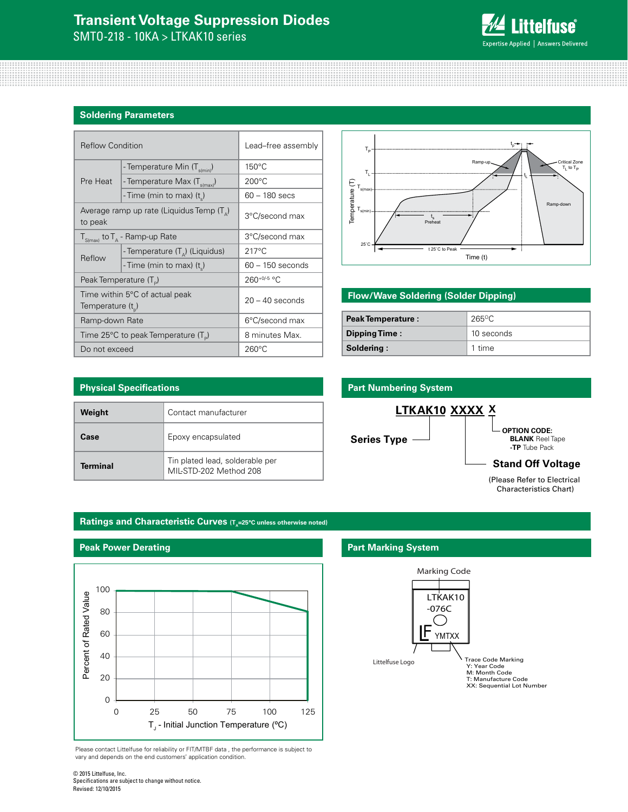## **Transient Voltage Suppression Diodes**

SMTO-218 - 10KA > LTKAK10 series



#### **Soldering Parameters**

| <b>Reflow Condition</b>                                 |                                                    | Lead-free assembly |  |
|---------------------------------------------------------|----------------------------------------------------|--------------------|--|
|                                                         | - Temperature Min (T <sub>s(min</sub> )            | $150^{\circ}$ C    |  |
| Pre Heat                                                | - Temperature Max (T <sub>s(max)</sub> )           | $200^{\circ}$ C    |  |
|                                                         | - Time (min to max) (t)                            | $60 - 180$ secs    |  |
| to peak                                                 | Average ramp up rate (Liquidus Temp $(T_{\Delta})$ | 3°C/second max     |  |
|                                                         | $T_{S(max)}$ to $T_A$ - Ramp-up Rate               | 3°C/second max     |  |
| Reflow                                                  | - Temperature $(T_{\Delta})$ (Liquidus)            | $217^{\circ}$ C    |  |
|                                                         | - Time (min to max) (t)                            | $60 - 150$ seconds |  |
| Peak Temperature (T <sub>D</sub> )                      |                                                    | $260^{+0/5}$ °C    |  |
| Time within 5°C of actual peak<br>Temperature $(t_{n})$ |                                                    | $20 - 40$ seconds  |  |
| Ramp-down Rate                                          |                                                    | 6°C/second max     |  |
|                                                         | Time 25°C to peak Temperature (T <sub>p</sub> )    | 8 minutes Max.     |  |
| Do not exceed                                           |                                                    | $260^{\circ}$ C    |  |



#### **Flow/Wave Soldering (Solder Dipping)**

| <b>Peak Temperature:</b> | $265^{\circ}$ C |  |
|--------------------------|-----------------|--|
| Dipping Time:            | 10 seconds      |  |
| Soldering:               | 1 time          |  |

| <b>Physical Specifications</b> |                                                           |  |  |
|--------------------------------|-----------------------------------------------------------|--|--|
| Weight                         | Contact manufacturer                                      |  |  |
| Case                           | Epoxy encapsulated                                        |  |  |
| <b>Terminal</b>                | Tin plated lead, solderable per<br>MIL-STD-202 Method 208 |  |  |

#### **Part Numbering System**



#### **Ratings and Characteristic Curves (T<sub>a</sub>=25°C unless otherwise noted)**

**Peak Power Derating**



Please contact Littelfuse for reliability or FIT/MTBF data , the performance is subject to vary and depends on the end customers' application condition.

#### **Part Marking System**